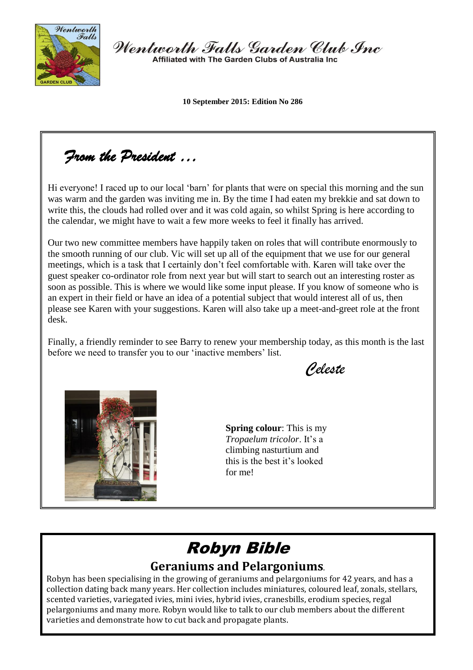

Wentworth Falls Garden Club Inc Affiliated with The Garden Clubs of Australia Inc.

**10 September 2015: Edition No 286**

*From the President …* 

Hi everyone! I raced up to our local 'barn' for plants that were on special this morning and the sun was warm and the garden was inviting me in. By the time I had eaten my brekkie and sat down to write this, the clouds had rolled over and it was cold again, so whilst Spring is here according to the calendar, we might have to wait a few more weeks to feel it finally has arrived.

Our two new committee members have happily taken on roles that will contribute enormously to the smooth running of our club. Vic will set up all of the equipment that we use for our general meetings, which is a task that I certainly don't feel comfortable with. Karen will take over the guest speaker co-ordinator role from next year but will start to search out an interesting roster as soon as possible. This is where we would like some input please. If you know of someone who is an expert in their field or have an idea of a potential subject that would interest all of us, then please see Karen with your suggestions. Karen will also take up a meet-and-greet role at the front desk.

Finally, a friendly reminder to see Barry to renew your membership today, as this month is the last before we need to transfer you to our 'inactive members' list.

*Celeste* 



**Spring colour**: This is my *Tropaelum tricolor*. It's a climbing nasturtium and this is the best it's looked for me!

# Robyn Bible **Geraniums and Pelargoniums**.

Robyn has been specialising in the growing of geraniums and pelargoniums for 42 years, and has a collection dating back many years. Her collection includes miniatures, coloured leaf, zonals, stellars, scented varieties, variegated ivies, mini ivies, hybrid ivies, cranesbills, erodium species, regal pelargoniums and many more. Robyn would like to talk to our club members about the different varieties and demonstrate how to cut back and propagate plants.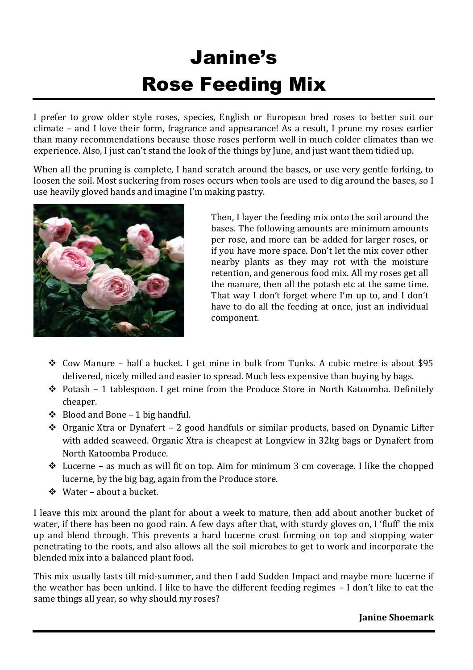# Janine's Rose Feeding Mix

I prefer to grow older style roses, species, English or European bred roses to better suit our climate – and I love their form, fragrance and appearance! As a result, I prune my roses earlier than many recommendations because those roses perform well in much colder climates than we experience. Also, I just can't stand the look of the things by June, and just want them tidied up.

When all the pruning is complete, I hand scratch around the bases, or use very gentle forking, to loosen the soil. Most suckering from roses occurs when tools are used to dig around the bases, so I use heavily gloved hands and imagine I'm making pastry.



Then, I layer the feeding mix onto the soil around the bases. The following amounts are minimum amounts per rose, and more can be added for larger roses, or if you have more space. Don't let the mix cover other nearby plants as they may rot with the moisture retention, and generous food mix. All my roses get all the manure, then all the potash etc at the same time. That way I don't forget where I'm up to, and I don't have to do all the feeding at once, just an individual component.

- Cow Manure half a bucket. I get mine in bulk from Tunks. A cubic metre is about \$95 delivered, nicely milled and easier to spread. Much less expensive than buying by bags.
- Potash 1 tablespoon. I get mine from the Produce Store in North Katoomba. Definitely cheaper.
- $\div$  Blood and Bone 1 big handful.
- $\cdot$  Organic Xtra or Dynafert 2 good handfuls or similar products, based on Dynamic Lifter with added seaweed. Organic Xtra is cheapest at Longview in 32kg bags or Dynafert from North Katoomba Produce.
- $\triangleleft$  Lucerne as much as will fit on top. Aim for minimum 3 cm coverage. I like the chopped lucerne, by the big bag, again from the Produce store.
- Water about a bucket.

I leave this mix around the plant for about a week to mature, then add about another bucket of water, if there has been no good rain. A few days after that, with sturdy gloves on, I 'fluff' the mix up and blend through. This prevents a hard lucerne crust forming on top and stopping water penetrating to the roots, and also allows all the soil microbes to get to work and incorporate the blended mix into a balanced plant food.

This mix usually lasts till mid-summer, and then I add Sudden Impact and maybe more lucerne if the weather has been unkind. I like to have the different feeding regimes – I don't like to eat the same things all year, so why should my roses?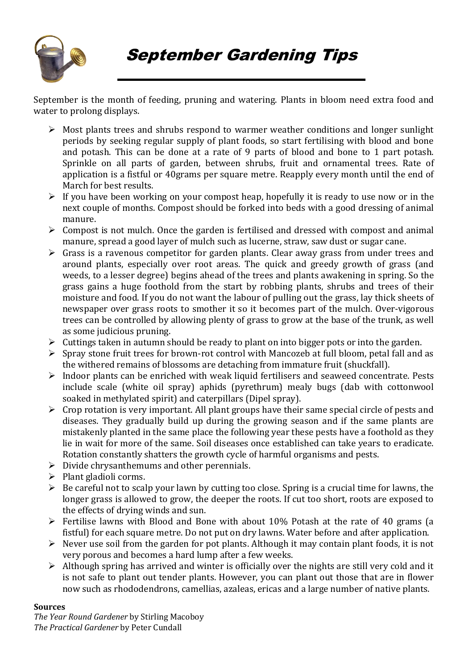

September Gardening Tips

September is the month of feeding, pruning and watering. Plants in bloom need extra food and water to prolong displays.

- $\triangleright$  Most plants trees and shrubs respond to warmer weather conditions and longer sunlight periods by seeking regular supply of plant foods, so start fertilising with blood and bone and potash. This can be done at a rate of 9 parts of blood and bone to 1 part potash. Sprinkle on all parts of garden, between shrubs, fruit and ornamental trees. Rate of application is a fistful or 40grams per square metre. Reapply every month until the end of March for best results.
- $\triangleright$  If you have been working on your compost heap, hopefully it is ready to use now or in the next couple of months. Compost should be forked into beds with a good dressing of animal manure.
- $\triangleright$  Compost is not mulch. Once the garden is fertilised and dressed with compost and animal manure, spread a good layer of mulch such as lucerne, straw, saw dust or sugar cane.
- $\triangleright$  Grass is a ravenous competitor for garden plants. Clear away grass from under trees and around plants, especially over root areas. The quick and greedy growth of grass (and weeds, to a lesser degree) begins ahead of the trees and plants awakening in spring. So the grass gains a huge foothold from the start by robbing plants, shrubs and trees of their moisture and food. If you do not want the labour of pulling out the grass, lay thick sheets of newspaper over grass roots to smother it so it becomes part of the mulch. Over-vigorous trees can be controlled by allowing plenty of grass to grow at the base of the trunk, as well as some judicious pruning.
- $\triangleright$  Cuttings taken in autumn should be ready to plant on into bigger pots or into the garden.
- $\triangleright$  Spray stone fruit trees for brown-rot control with Mancozeb at full bloom, petal fall and as the withered remains of blossoms are detaching from immature fruit (shuckfall).
- $\triangleright$  Indoor plants can be enriched with weak liquid fertilisers and seaweed concentrate. Pests include scale (white oil spray) aphids (pyrethrum) mealy bugs (dab with cottonwool soaked in methylated spirit) and caterpillars (Dipel spray).
- $\triangleright$  Crop rotation is very important. All plant groups have their same special circle of pests and diseases. They gradually build up during the growing season and if the same plants are mistakenly planted in the same place the following year these pests have a foothold as they lie in wait for more of the same. Soil diseases once established can take years to eradicate. Rotation constantly shatters the growth cycle of harmful organisms and pests.
- $\triangleright$  Divide chrysanthemums and other perennials.
- $\triangleright$  Plant gladioli corms.
- $\triangleright$  Be careful not to scalp your lawn by cutting too close. Spring is a crucial time for lawns, the longer grass is allowed to grow, the deeper the roots. If cut too short, roots are exposed to the effects of drying winds and sun.
- $\triangleright$  Fertilise lawns with Blood and Bone with about 10% Potash at the rate of 40 grams (a fistful) for each square metre. Do not put on dry lawns. Water before and after application.
- $\triangleright$  Never use soil from the garden for pot plants. Although it may contain plant foods, it is not very porous and becomes a hard lump after a few weeks.
- $\triangleright$  Although spring has arrived and winter is officially over the nights are still very cold and it is not safe to plant out tender plants. However, you can plant out those that are in flower now such as rhododendrons, camellias, azaleas, ericas and a large number of native plants.

#### **Sources**

*The Year Round Gardener* by Stirling Macoboy *The Practical Gardener* by Peter Cundall